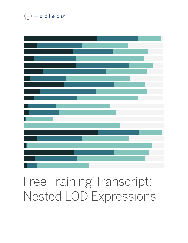



## Free Training Transcript: Nested LOD Expressions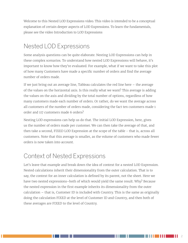Welcome to this Nested LOD Expressions video. This video is intended to be a conceptual explanation of certain deeper aspects of LOD Expressions. To learn the fundamentals, please see the video Introduction to LOD Expressions

## Nested LOD Expressions

Some analysis questions can be quite elaborate. Nesting LOD Expressions can help in these complex scenarios. To understand how nested LOD Expressions will behave, it's important to know how they're evaluated. For example, what if we want to take this plot of how many Customers have made a specific number of orders and find the average number of orders made.

If we just bring out an average line, Tableau calculates the red line here – the average of the values on the horizontal axis. Is this really what we want? This average is adding the values on the axis and dividing by the total number of options, regardless of how many customers made each number of orders. Or rather, do we want the average across all customers of the number of orders made, considering the fact ten customers made 1 order and 117 customers made 6 orders?

Nesting LOD expressions can help us do that. The initial LOD Expression, here, gives us the number of orders made per customer. We can then take the average of that, and then take a second, FIXED LOD Expression at the scope of the table - that is, across all customers. Note that this average is smaller, as the volume of customers who made fewer orders is now taken into account.

## Context of Nested Expressions

Let's leave that example and break down the idea of context for a nested LOD Expression. Nested calculations inherit their dimensionality from the outer calculation. That is to say, the context for an inner calculation is defined by its parent, not the sheet. Here we have two nested expressions–both of which would yield the same result. Why? Because the nested expression in the first example inherits its dimensionality from the outer calculation – that is, Customer ID is included with Country. This is the same as originally doing the calculation FIXED at the level of Customer ID and Country, and then both of these averages are FIXED to the level of Country.